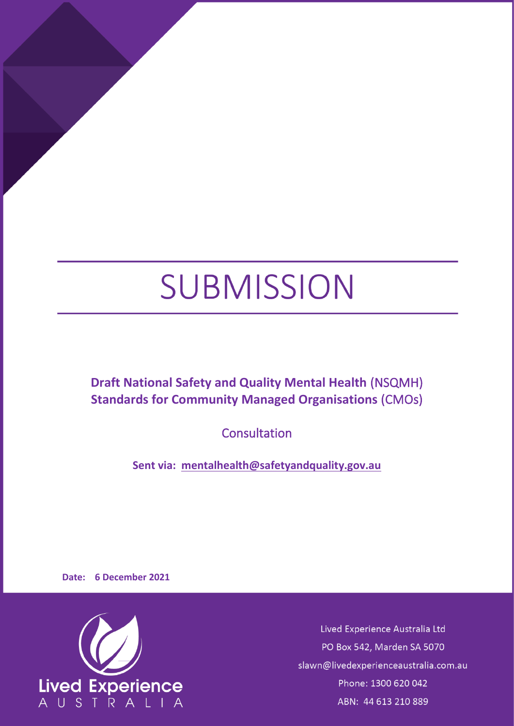# SUBMISSION

**Draft National Safety and Quality Mental Health** (NSQMH) **Standards for Community Managed Organisations** (CMOs)

**Consultation** 

**Sent via: [mentalhealth@safetyandquality.gov.au](mailto:mentalhealth@safetyandquality.gov.au)**

**Date: 6 December 2021**



Lived Experience Australia Ltd PO Box 542, Marden SA 5070 slawn@livedexperienceaustralia.com.au Phone: 1300 620 042 ABN: 44 613 210 889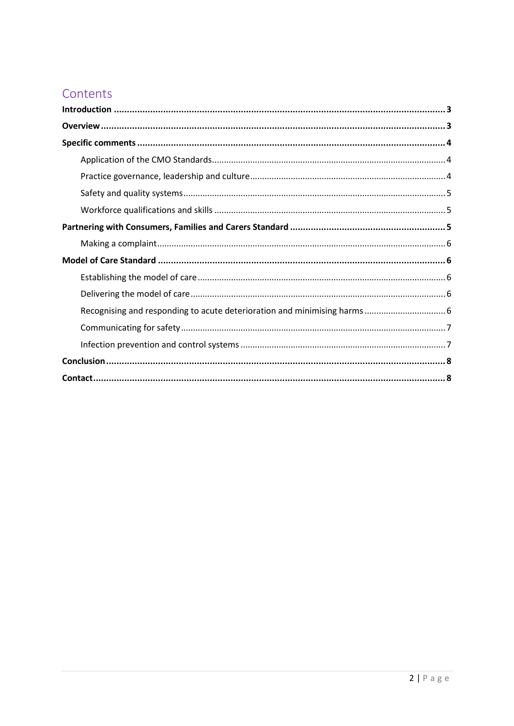## Contents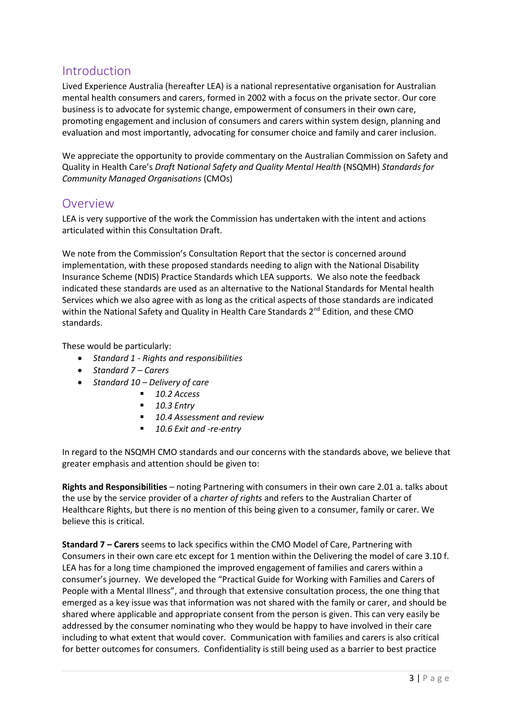## Introduction

Lived Experience Australia (hereafter LEA) is a national representative organisation for Australian mental health consumers and carers, formed in 2002 with a focus on the private sector. Our core business is to advocate for systemic change, empowerment of consumers in their own care, promoting engagement and inclusion of consumers and carers within system design, planning and evaluation and most importantly, advocating for consumer choice and family and carer inclusion.

We appreciate the opportunity to provide commentary on the Australian Commission on Safety and Quality in Health Care's *Draft* N*ational Safety and Quality Mental Health* (NSQMH) *Standards for Community Managed Organisations* (CMOs)

## **Overview**

LEA is very supportive of the work the Commission has undertaken with the intent and actions articulated within this Consultation Draft.

We note from the Commission's Consultation Report that the sector is concerned around implementation, with these proposed standards needing to align with the National Disability Insurance Scheme (NDIS) Practice Standards which LEA supports. We also note the feedback indicated these standards are used as an alternative to the National Standards for Mental health Services which we also agree with as long as the critical aspects of those standards are indicated within the National Safety and Quality in Health Care Standards 2<sup>nd</sup> Edition, and these CMO standards.

These would be particularly:

- *Standard 1 - Rights and responsibilities*
- *Standard 7 – Carers*
- *Standard 10 – Delivery of care* 
	- *10.2 Access*
	- *10.3 Entry*
	- 10.4 Assessment and review
	- *10.6 Exit and -re-entry*

In regard to the NSQMH CMO standards and our concerns with the standards above, we believe that greater emphasis and attention should be given to:

**Rights and Responsibilities** – noting Partnering with consumers in their own care 2.01 a. talks about the use by the service provider of a *charter of rights* and refers to the Australian Charter of Healthcare Rights, but there is no mention of this being given to a consumer, family or carer. We believe this is critical.

**Standard 7 – Carers** seems to lack specifics within the CMO Model of Care, Partnering with Consumers in their own care etc except for 1 mention within the Delivering the model of care 3.10 f. LEA has for a long time championed the improved engagement of families and carers within a consumer's journey. We developed the "Practical Guide for Working with Families and Carers of People with a Mental Illness", and through that extensive consultation process, the one thing that emerged as a key issue was that information was not shared with the family or carer, and should be shared where applicable and appropriate consent from the person is given. This can very easily be addressed by the consumer nominating who they would be happy to have involved in their care including to what extent that would cover. Communication with families and carers is also critical for better outcomes for consumers. Confidentiality is still being used as a barrier to best practice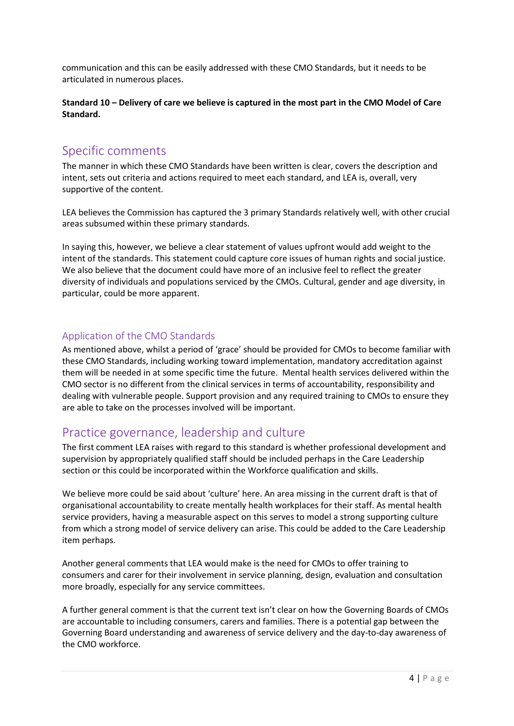communication and this can be easily addressed with these CMO Standards, but it needs to be articulated in numerous places.

**Standard 10 – Delivery of care we believe is captured in the most part in the CMO Model of Care Standard.**

## Specific comments

The manner in which these CMO Standards have been written is clear, covers the description and intent, sets out criteria and actions required to meet each standard, and LEA is, overall, very supportive of the content.

LEA believes the Commission has captured the 3 primary Standards relatively well, with other crucial areas subsumed within these primary standards.

In saying this, however, we believe a clear statement of values upfront would add weight to the intent of the standards. This statement could capture core issues of human rights and social justice. We also believe that the document could have more of an inclusive feel to reflect the greater diversity of individuals and populations serviced by the CMOs. Cultural, gender and age diversity, in particular, could be more apparent.

## Application of the CMO Standards

As mentioned above, whilst a period of 'grace' should be provided for CMOs to become familiar with these CMO Standards, including working toward implementation, mandatory accreditation against them will be needed in at some specific time the future. Mental health services delivered within the CMO sector is no different from the clinical services in terms of accountability, responsibility and dealing with vulnerable people. Support provision and any required training to CMOs to ensure they are able to take on the processes involved will be important.

## Practice governance, leadership and culture

The first comment LEA raises with regard to this standard is whether professional development and supervision by appropriately qualified staff should be included perhaps in the Care Leadership section or this could be incorporated within the Workforce qualification and skills.

We believe more could be said about 'culture' here. An area missing in the current draft is that of organisational accountability to create mentally health workplaces for their staff. As mental health service providers, having a measurable aspect on this serves to model a strong supporting culture from which a strong model of service delivery can arise. This could be added to the Care Leadership item perhaps.

Another general comments that LEA would make is the need for CMOs to offer training to consumers and carer for their involvement in service planning, design, evaluation and consultation more broadly, especially for any service committees.

A further general comment is that the current text isn't clear on how the Governing Boards of CMOs are accountable to including consumers, carers and families. There is a potential gap between the Governing Board understanding and awareness of service delivery and the day-to-day awareness of the CMO workforce.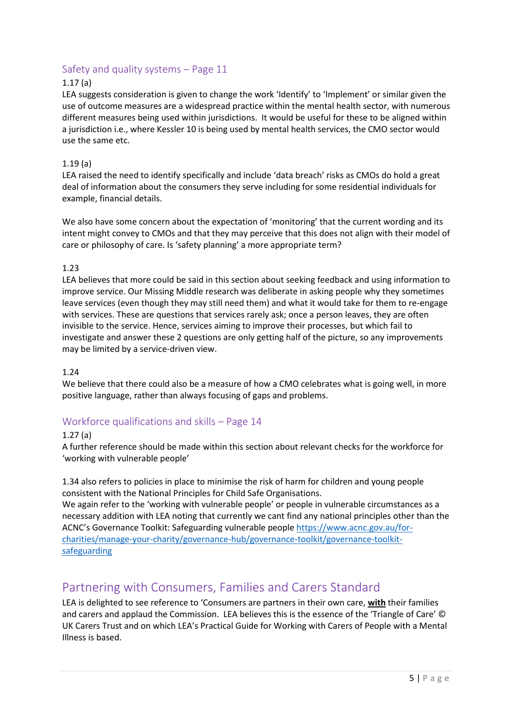## Safety and quality systems – Page 11

## 1.17 (a)

LEA suggests consideration is given to change the work 'Identify' to 'Implement' or similar given the use of outcome measures are a widespread practice within the mental health sector, with numerous different measures being used within jurisdictions. It would be useful for these to be aligned within a jurisdiction i.e., where Kessler 10 is being used by mental health services, the CMO sector would use the same etc.

## 1.19 (a)

LEA raised the need to identify specifically and include 'data breach' risks as CMOs do hold a great deal of information about the consumers they serve including for some residential individuals for example, financial details.

We also have some concern about the expectation of 'monitoring' that the current wording and its intent might convey to CMOs and that they may perceive that this does not align with their model of care or philosophy of care. Is 'safety planning' a more appropriate term?

## 1.23

LEA believes that more could be said in this section about seeking feedback and using information to improve service. Our Missing Middle research was deliberate in asking people why they sometimes leave services (even though they may still need them) and what it would take for them to re-engage with services. These are questions that services rarely ask; once a person leaves, they are often invisible to the service. Hence, services aiming to improve their processes, but which fail to investigate and answer these 2 questions are only getting half of the picture, so any improvements may be limited by a service-driven view.

#### 1.24

We believe that there could also be a measure of how a CMO celebrates what is going well, in more positive language, rather than always focusing of gaps and problems.

## Workforce qualifications and skills – Page 14

#### 1.27 (a)

A further reference should be made within this section about relevant checks for the workforce for 'working with vulnerable people'

1.34 also refers to policies in place to minimise the risk of harm for children and young people consistent with the National Principles for Child Safe Organisations.

We again refer to the 'working with vulnerable people' or people in vulnerable circumstances as a necessary addition with LEA noting that currently we cant find any national principles other than the ACNC's Governance Toolkit: Safeguarding vulnerable peopl[e https://www.acnc.gov.au/for](https://www.acnc.gov.au/for-charities/manage-your-charity/governance-hub/governance-toolkit/governance-toolkit-safeguarding)[charities/manage-your-charity/governance-hub/governance-toolkit/governance-toolkit](https://www.acnc.gov.au/for-charities/manage-your-charity/governance-hub/governance-toolkit/governance-toolkit-safeguarding)[safeguarding](https://www.acnc.gov.au/for-charities/manage-your-charity/governance-hub/governance-toolkit/governance-toolkit-safeguarding)

## Partnering with Consumers, Families and Carers Standard

LEA is delighted to see reference to 'Consumers are partners in their own care, **with** their families and carers and applaud the Commission. LEA believes this is the essence of the 'Triangle of Care' © UK Carers Trust and on which LEA's Practical Guide for Working with Carers of People with a Mental Illness is based.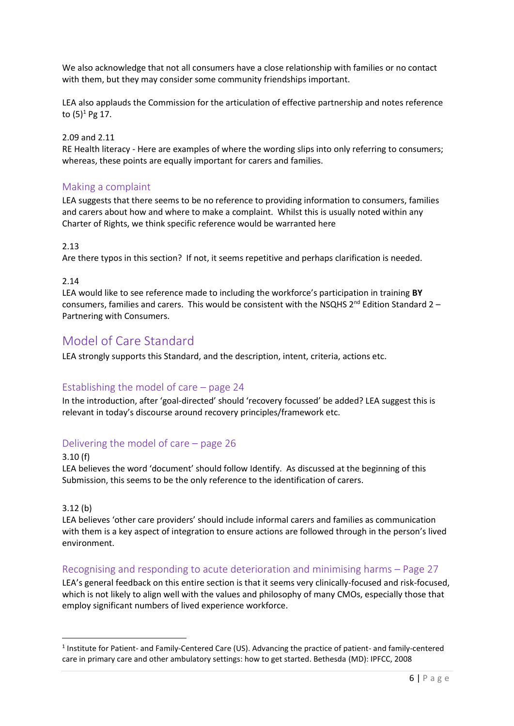We also acknowledge that not all consumers have a close relationship with families or no contact with them, but they may consider some community friendships important.

LEA also applauds the Commission for the articulation of effective partnership and notes reference to  $(5)^1$  Pg 17.

### 2.09 and 2.11

RE Health literacy - Here are examples of where the wording slips into only referring to consumers; whereas, these points are equally important for carers and families.

## Making a complaint

LEA suggests that there seems to be no reference to providing information to consumers, families and carers about how and where to make a complaint. Whilst this is usually noted within any Charter of Rights, we think specific reference would be warranted here

## 2.13

Are there typos in this section? If not, it seems repetitive and perhaps clarification is needed.

## 2.14

LEA would like to see reference made to including the workforce's participation in training **BY**  consumers, families and carers. This would be consistent with the NSQHS  $2^{nd}$  Edition Standard 2 – Partnering with Consumers.

## Model of Care Standard

LEA strongly supports this Standard, and the description, intent, criteria, actions etc.

## Establishing the model of care – page 24

In the introduction, after 'goal-directed' should 'recovery focussed' be added? LEA suggest this is relevant in today's discourse around recovery principles/framework etc.

## Delivering the model of care – page 26

#### 3.10 (f)

LEA believes the word 'document' should follow Identify. As discussed at the beginning of this Submission, this seems to be the only reference to the identification of carers.

#### 3.12 (b)

LEA believes 'other care providers' should include informal carers and families as communication with them is a key aspect of integration to ensure actions are followed through in the person's lived environment.

## Recognising and responding to acute deterioration and minimising harms – Page 27

LEA's general feedback on this entire section is that it seems very clinically-focused and risk-focused, which is not likely to align well with the values and philosophy of many CMOs, especially those that employ significant numbers of lived experience workforce.

<sup>&</sup>lt;sup>1</sup> Institute for Patient- and Family-Centered Care (US). Advancing the practice of patient- and family-centered care in primary care and other ambulatory settings: how to get started. Bethesda (MD): IPFCC, 2008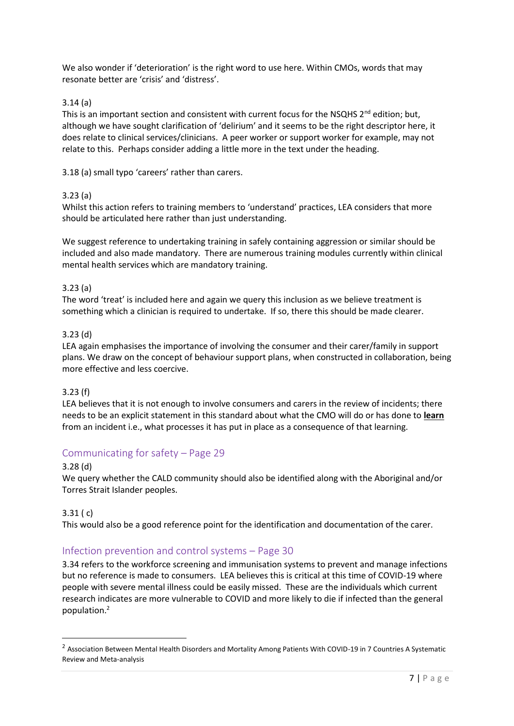We also wonder if 'deterioration' is the right word to use here. Within CMOs, words that may resonate better are 'crisis' and 'distress'.

## 3.14 (a)

This is an important section and consistent with current focus for the NSQHS 2<sup>nd</sup> edition; but, although we have sought clarification of 'delirium' and it seems to be the right descriptor here, it does relate to clinical services/clinicians. A peer worker or support worker for example, may not relate to this. Perhaps consider adding a little more in the text under the heading.

3.18 (a) small typo 'careers' rather than carers.

## 3.23 (a)

Whilst this action refers to training members to 'understand' practices, LEA considers that more should be articulated here rather than just understanding.

We suggest reference to undertaking training in safely containing aggression or similar should be included and also made mandatory. There are numerous training modules currently within clinical mental health services which are mandatory training.

## 3.23 (a)

The word 'treat' is included here and again we query this inclusion as we believe treatment is something which a clinician is required to undertake. If so, there this should be made clearer.

## 3.23 (d)

LEA again emphasises the importance of involving the consumer and their carer/family in support plans. We draw on the concept of behaviour support plans, when constructed in collaboration, being more effective and less coercive.

#### 3.23 (f)

LEA believes that it is not enough to involve consumers and carers in the review of incidents; there needs to be an explicit statement in this standard about what the CMO will do or has done to **learn**  from an incident i.e., what processes it has put in place as a consequence of that learning.

## Communicating for safety – Page 29

#### 3.28 (d)

We query whether the CALD community should also be identified along with the Aboriginal and/or Torres Strait Islander peoples.

#### 3.31 ( c)

This would also be a good reference point for the identification and documentation of the carer.

## Infection prevention and control systems – Page 30

3.34 refers to the workforce screening and immunisation systems to prevent and manage infections but no reference is made to consumers. LEA believes this is critical at this time of COVID-19 where people with severe mental illness could be easily missed. These are the individuals which current research indicates are more vulnerable to COVID and more likely to die if infected than the general population.<sup>2</sup>

<sup>&</sup>lt;sup>2</sup> Association Between Mental Health Disorders and Mortality Among Patients With COVID-19 in 7 Countries A Systematic Review and Meta-analysis